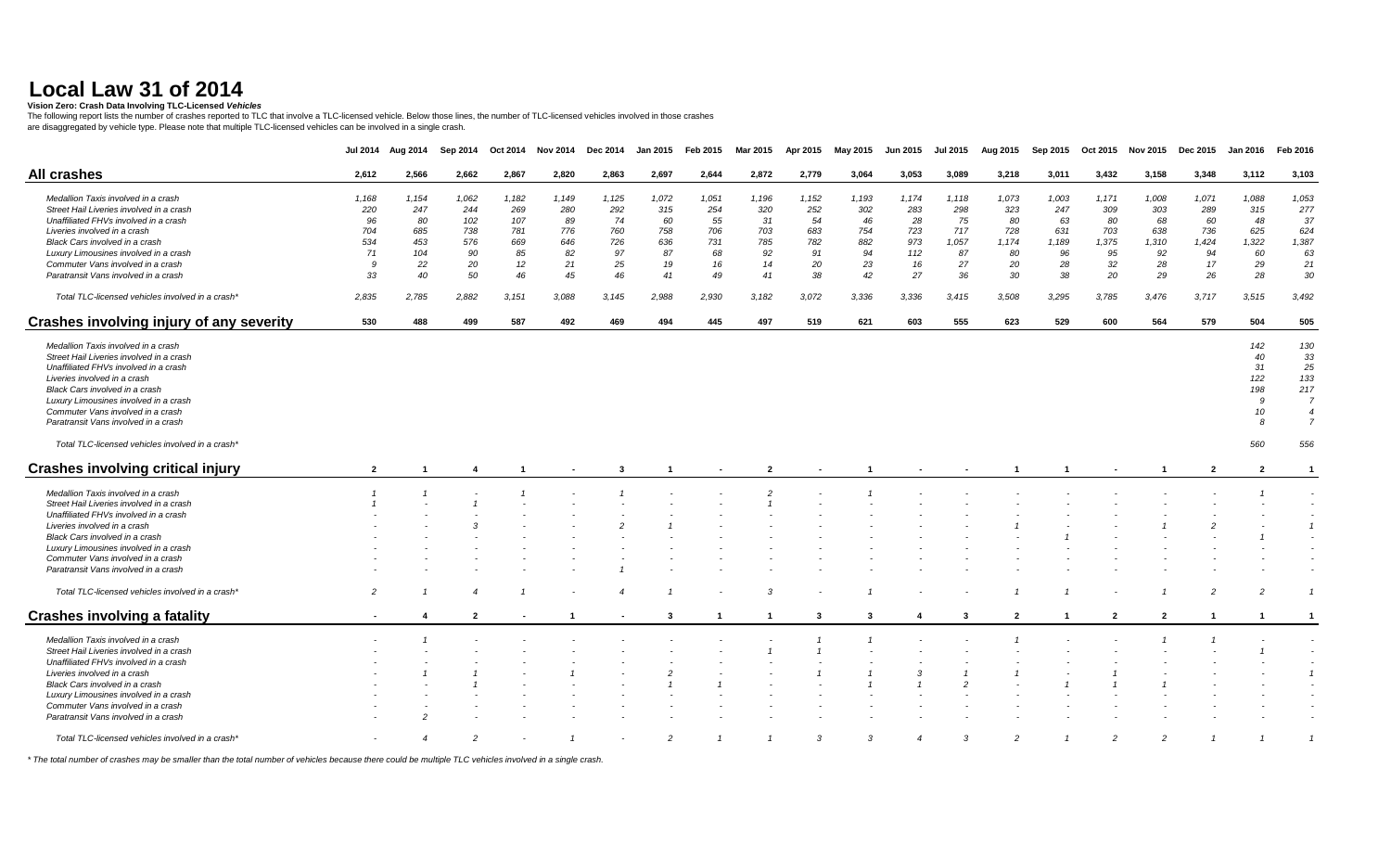#### **Vision Zero: Crash Data Involving TLC-Licensed** *Vehicles*

The following report lists the number of crashes reported to TLC that involve a TLC-licensed vehicle. Below those lines, the number of TLC-licensed vehicles involved in those crashes<br>are disaggregated by vehicle type. Plea

|                                                  | <b>Jul 2014</b> | Aug 2014       | Sep 2014       | Oct 2014 | <b>Nov 2014</b> | Dec 2014 | <b>Jan 2015</b> | Feb 2015 | Mar 2015       | Apr 2015 | May 2015 | Jun 2015       | <b>Jul 2015</b> | Aug 2015       | Sep 2015 | Oct 2015       | <b>Nov 2015</b> | <b>Dec 2015</b> | <b>Jan 2016</b> | Feb 2016       |
|--------------------------------------------------|-----------------|----------------|----------------|----------|-----------------|----------|-----------------|----------|----------------|----------|----------|----------------|-----------------|----------------|----------|----------------|-----------------|-----------------|-----------------|----------------|
| <b>All crashes</b>                               | 2,612           | 2,566          | 2,662          | 2,867    | 2,820           | 2,863    | 2,697           | 2,644    | 2,872          | 2,779    | 3,064    | 3,053          | 3,089           | 3,218          | 3,011    | 3,432          | 3,158           | 3,348           | 3,112           | 3,103          |
| Medallion Taxis involved in a crash              | 1,168           | 1,154          | 1,062          | 1,182    | 1,149           | 1,125    | 1,072           | 1,051    | 1,196          | 1,152    | 1,193    | 1,174          | 1,118           | 1,073          | 1,003    | 1,171          | 1,008           | 1,071           | 1,088           | 1,053          |
| Street Hail Liveries involved in a crash         | 220             | 247            | 244            | 269      | 280             | 292      | 315             | 254      | 320            | 252      | 302      | 283            | 298             | 323            | 247      | 309            | 303             | 289             | 315             | 277            |
| Unaffiliated FHVs involved in a crash            | 96              | 80             | 102            | 107      | 89              | 74       | 60              | 55       | 31             | 54       | 46       | 28             | 75              | 80             | 63       | 80             | 68              | 60              | 48              | 37             |
| Liveries involved in a crash                     | 704             | 685            | 738            | 781      | 776             | 760      | 758             | 706      | 703            | 683      | 754      | 723            | 717             | 728            | 631      | 703            | 638             | 736             | 625             | 624            |
| Black Cars involved in a crash                   | 534             | 453            | 576            | 669      | 646             | 726      | 636             | 731      | 785            | 782      | 882      | 973            | 1,057           | 1,174          | 1,189    | 1,375          | 1,310           | 1,424           | 1,322           | 1,387          |
| Luxury Limousines involved in a crash            | 71              | 104            | 90             | 85       | 82              | 97       | 87              | 68       | 92             | 91       | 94       | 112            | 87              | 80             | 96       | 95             | 92              | 94              | 60              | 63             |
|                                                  |                 |                |                |          |                 |          |                 |          |                |          |          |                |                 |                |          |                |                 |                 |                 |                |
| Commuter Vans involved in a crash                | 9               | 22             | 20             | 12       | 21              | 25       | 19              | 16       | 14             | 20       | 23       | 16             | 27              | 20             | 28       | 32             | 28              | 17              | 29              | 21             |
| Paratransit Vans involved in a crash             | 33              | 40             | 50             | 46       | 45              | 46       | 41              | 49       | 41             | 38       | 42       | 27             | 36              | 30             | 38       | 20             | 29              | 26              | 28              | 30             |
| Total TLC-licensed vehicles involved in a crash* | 2,835           | 2,785          | 2,882          | 3,151    | 3,088           | 3,145    | 2,988           | 2,930    | 3,182          | 3,072    | 3,336    | 3,336          | 3,415           | 3,508          | 3,295    | 3,785          | 3,476           | 3,717           | 3,515           | 3,492          |
| Crashes involving injury of any severity         | 530             | 488            | 499            | 587      | 492             | 469      | 494             | 445      | 497            | 519      | 621      | 603            | 555             | 623            | 529      | 600            | 564             | 579             | 504             | 505            |
|                                                  |                 |                |                |          |                 |          |                 |          |                |          |          |                |                 |                |          |                |                 |                 |                 |                |
| Medallion Taxis involved in a crash              |                 |                |                |          |                 |          |                 |          |                |          |          |                |                 |                |          |                |                 |                 | 142             | 130            |
| Street Hail Liveries involved in a crash         |                 |                |                |          |                 |          |                 |          |                |          |          |                |                 |                |          |                |                 |                 | 40              | 33             |
| Unaffiliated FHVs involved in a crash            |                 |                |                |          |                 |          |                 |          |                |          |          |                |                 |                |          |                |                 |                 | 31              | 25             |
| Liveries involved in a crash                     |                 |                |                |          |                 |          |                 |          |                |          |          |                |                 |                |          |                |                 |                 | 122             | 133            |
| Black Cars involved in a crash                   |                 |                |                |          |                 |          |                 |          |                |          |          |                |                 |                |          |                |                 |                 | 198             | 217            |
| Luxury Limousines involved in a crash            |                 |                |                |          |                 |          |                 |          |                |          |          |                |                 |                |          |                |                 |                 | 9               | $\overline{7}$ |
| Commuter Vans involved in a crash                |                 |                |                |          |                 |          |                 |          |                |          |          |                |                 |                |          |                |                 |                 | 10              | $\overline{4}$ |
| Paratransit Vans involved in a crash             |                 |                |                |          |                 |          |                 |          |                |          |          |                |                 |                |          |                |                 |                 | 8               | $\overline{7}$ |
| Total TLC-licensed vehicles involved in a crash* |                 |                |                |          |                 |          |                 |          |                |          |          |                |                 |                |          |                |                 |                 | 560             | 556            |
| <b>Crashes involving critical injury</b>         | $\overline{2}$  |                | -4             |          |                 | 3        |                 |          | $\overline{2}$ |          |          |                |                 |                |          |                |                 | $\overline{2}$  | $\overline{2}$  | $\mathbf{1}$   |
|                                                  |                 |                |                |          |                 |          |                 |          |                |          |          |                |                 |                |          |                |                 |                 |                 |                |
| Medallion Taxis involved in a crash              |                 |                |                |          |                 |          |                 |          |                |          |          |                |                 |                |          |                |                 |                 |                 |                |
| Street Hail Liveries involved in a crash         |                 |                |                |          |                 |          |                 |          |                |          |          |                |                 |                |          |                |                 |                 |                 |                |
| Unaffiliated FHVs involved in a crash            |                 |                |                |          |                 |          |                 |          |                |          |          |                |                 |                |          |                |                 |                 |                 |                |
| Liveries involved in a crash                     |                 |                |                |          |                 |          |                 |          |                |          |          |                |                 |                |          |                |                 |                 |                 |                |
| Black Cars involved in a crash                   |                 |                |                |          |                 |          |                 |          |                |          |          |                |                 |                |          |                |                 |                 |                 |                |
| Luxury Limousines involved in a crash            |                 |                |                |          |                 |          |                 |          |                |          |          |                |                 |                |          |                |                 |                 |                 |                |
| Commuter Vans involved in a crash                |                 |                |                |          |                 |          |                 |          |                |          |          |                |                 |                |          |                |                 |                 |                 |                |
| Paratransit Vans involved in a crash             |                 |                |                |          |                 |          |                 |          |                |          |          |                |                 |                |          |                |                 |                 |                 |                |
| Total TLC-licensed vehicles involved in a crash* | $\overline{c}$  |                |                |          |                 |          |                 |          |                |          |          |                |                 |                |          |                |                 |                 |                 |                |
| <b>Crashes involving a fatality</b>              |                 | 4              | $\overline{2}$ |          |                 |          | -3              |          | -1             | 3        | -3       |                | -3              | $\overline{2}$ |          | $\overline{2}$ | $\overline{2}$  |                 |                 | $\mathbf{1}$   |
| Medallion Taxis involved in a crash              |                 |                |                |          |                 |          |                 |          |                |          |          |                |                 |                |          |                |                 |                 |                 |                |
| Street Hail Liveries involved in a crash         |                 |                |                |          |                 |          |                 |          |                |          |          |                |                 |                |          |                |                 |                 |                 |                |
| Unaffiliated FHVs involved in a crash            |                 |                |                |          |                 |          |                 |          |                |          |          |                |                 |                |          |                |                 |                 |                 |                |
| Liveries involved in a crash                     |                 |                |                |          |                 |          |                 |          |                |          |          | 3              |                 |                |          |                |                 |                 |                 | $\overline{1}$ |
| Black Cars involved in a crash                   |                 |                |                |          |                 |          |                 |          |                |          |          |                |                 |                |          |                |                 |                 |                 |                |
|                                                  |                 |                |                |          |                 |          |                 |          |                |          |          |                |                 |                |          |                |                 |                 |                 |                |
| Luxury Limousines involved in a crash            |                 |                |                |          |                 |          |                 |          |                |          |          |                |                 |                |          |                |                 |                 |                 |                |
| Commuter Vans involved in a crash                |                 |                |                |          |                 |          |                 |          |                |          |          |                |                 |                |          |                |                 |                 |                 |                |
| Paratransit Vans involved in a crash             |                 |                |                |          |                 |          |                 |          |                |          |          |                |                 |                |          |                |                 |                 |                 |                |
| Total TLC-licensed vehicles involved in a crash' |                 | $\overline{4}$ | $\overline{2}$ |          |                 |          | $\mathcal{P}$   |          |                | 3        | 3        | $\overline{4}$ | 3               | $\overline{2}$ |          | $\overline{c}$ | $\overline{2}$  |                 |                 | $\overline{1}$ |

*\* The total number of crashes may be smaller than the total number of vehicles because there could be multiple TLC vehicles involved in a single crash.*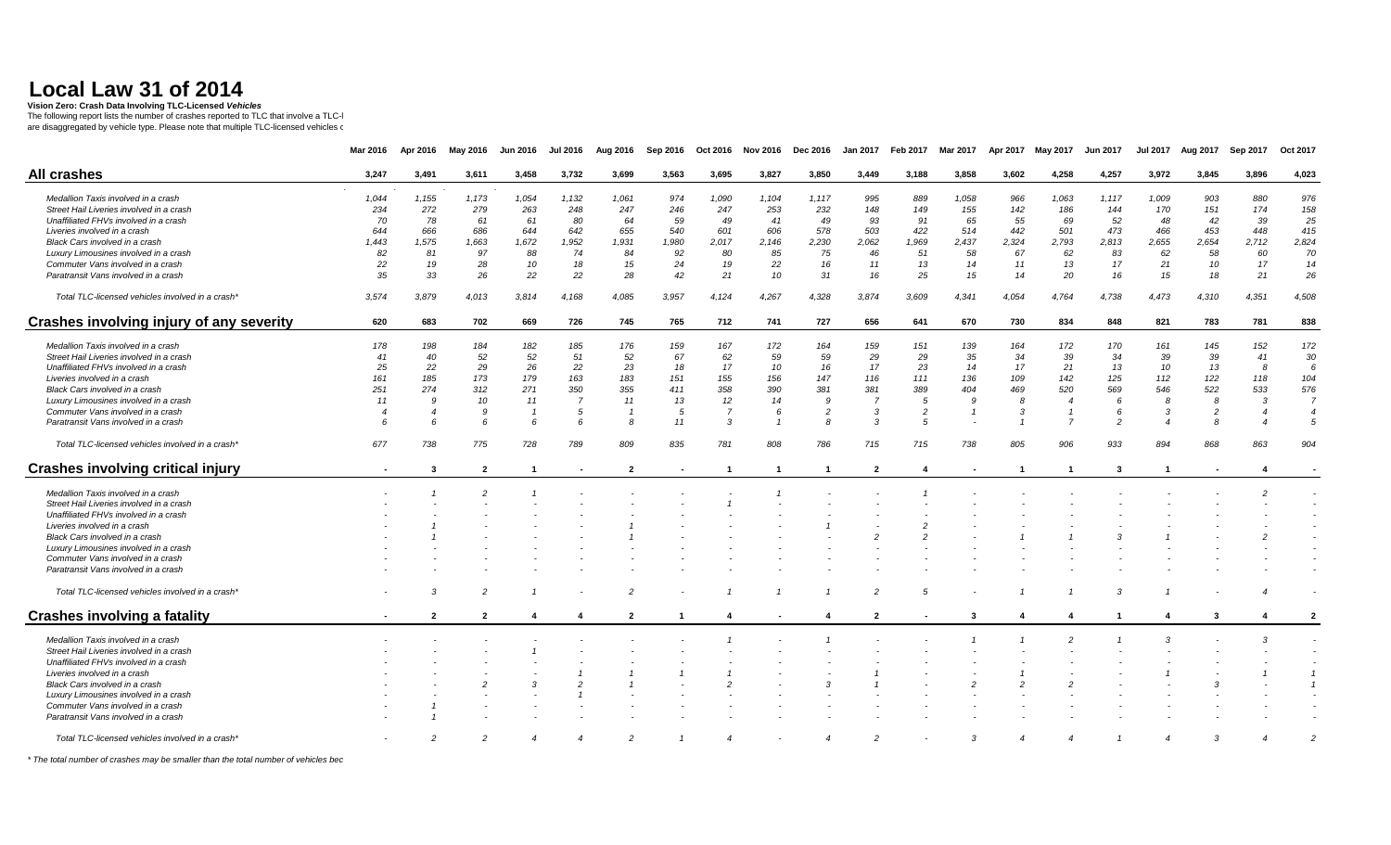**Vision Zero: Crash Data Involving TLC-Licensed** *Vehicles* 

The following report lists the number of crashes reported to TLC that involve a TLC-l<br>are disaggregated by vehicle type. Please note that multiple TLC-licensed vehicles ఁ

|                                                  | Mar 2016       | Apr 2016                | May 2016       | <b>Jun 2016</b> | <b>Jul 2016</b>       | Aug 2016       | Sep 2016 | Oct 2016       | <b>Nov 2016</b> | <b>Dec 2016</b> | <b>Jan 2017</b> | Feb 2017       | Mar 2017 | Apr 2017 | May 2017       | <b>Jun 2017</b> | <b>Jul 2017</b> | Aug 2017       | Sep 2017 | Oct 2017       |
|--------------------------------------------------|----------------|-------------------------|----------------|-----------------|-----------------------|----------------|----------|----------------|-----------------|-----------------|-----------------|----------------|----------|----------|----------------|-----------------|-----------------|----------------|----------|----------------|
|                                                  |                |                         |                |                 |                       |                |          |                |                 |                 |                 |                |          |          |                |                 |                 |                |          |                |
| <b>All crashes</b>                               | 3,247          | 3,491                   | 3,611          | 3,458           | 3,732                 | 3,699          | 3,563    | 3,695          | 3,827           | 3,850           | 3,449           | 3,188          | 3,858    | 3,602    | 4,258          | 4,257           | 3,972           | 3,845          | 3,896    | 4,023          |
| Medallion Taxis involved in a crash              | 1,044          | 1,155                   | 1,173          | 1,054           | 1,132                 | 1,061          | 974      | 1,090          | 1,104           | 1,117           | 995             | 889            | 1,058    | 966      | 1,063          | 1,117           | 1,009           | 903            | 880      | 976            |
| Street Hail Liveries involved in a crash         | 234            | 272                     | 279            | 263             | 248                   | 247            | 246      | 247            | 253             | 232             | 148             | 149            | 155      | 142      | 186            | 144             | 170             | 151            | 174      | 158            |
| Unaffiliated FHVs involved in a crash            | 70             | 78                      | 61             | 61              | 80                    | 64             | 59       | 49             | 41              | 49              | 93              | 91             | 65       | 55       | 69             | 52              | 48              | 42             | 39       | 25             |
| Liveries involved in a crash                     | 644            | 666                     | 686            | 644             | 642                   | 655            | 540      | 601            | 606             | 578             | 503             | 422            | 514      | 442      | 501            | 473             | 466             | 453            | 448      | 415            |
| Black Cars involved in a crash                   | 1,443          | 1,575                   | 1,663          | 1,672           | 1,952                 | 1,931          | 1,980    | 2,017          | 2,146           | 2,230           | 2,062           | 1,969          | 2,437    | 2,324    | 2,793          | 2,813           | 2,655           | 2,654          | 2,712    | 2,824          |
| Luxury Limousines involved in a crash            | 82             | 81                      | 97             | 88              | 74                    | 84             | 92       | 80             | 85              | 75              | 46              | 51             | 58       | 67       | 62             | 83              | 62              | 58             | 60       | 70             |
| Commuter Vans involved in a crash                | 22             | 19                      | 28             | 10              | 18                    | 15             | 24       | 19             | 22              | 16              | 11              | 13             | 14       | 11       | 13             | 17              | 21              | 10             | 17       | 14             |
| Paratransit Vans involved in a crash             | 35             | 33                      | 26             | 22              | 22                    | 28             | 42       | 21             | 10              | 31              | 16              | 25             | 15       | 14       | 20             | 16              | 15              | 18             | 21       | 26             |
|                                                  |                |                         |                |                 |                       |                |          |                |                 |                 |                 |                |          |          |                |                 |                 |                |          |                |
| Total TLC-licensed vehicles involved in a crash* | 3,574          | 3,879                   | 4,013          | 3,814           | 4,168                 | 4,085          | 3,957    | 4,124          | 4,267           | 4,328           | 3,874           | 3,609          | 4,341    | 4,054    | 4,764          | 4,738           | 4,473           | 4,310          | 4,351    | 4,508          |
| Crashes involving injury of any severity         | 620            | 683                     | 702            | 669             | 726                   | 745            | 765      | 712            | 741             | 727             | 656             | 641            | 670      | 730      | 834            | 848             | 821             | 783            | 781      | 838            |
| Medallion Taxis involved in a crash              | 178            | 198                     | 184            | 182             | 185                   | 176            | 159      | 167            | 172             | 164             | 159             | 151            | 139      | 164      | 172            | 170             | 161             | 145            | 152      | 172            |
| Street Hail Liveries involved in a crash         | 41             | 40                      | 52             | 52              | 51                    | 52             | 67       | 62             | 59              | 59              | 29              | 29             | 35       | 34       | 39             | 34              | 39              | 39             | 41       | 30             |
|                                                  |                |                         |                |                 |                       |                | 18       |                |                 |                 | 17              |                |          | 17       |                |                 | 10              |                | 8        | 6              |
| Unaffiliated FHVs involved in a crash            | 25             | 22                      | 29             | 26              | 22                    | 23             |          | 17             | 10              | 16              |                 | 23             | 14       |          | 21             | 13              |                 | 13             | 118      |                |
| Liveries involved in a crash                     | 161            | 185                     | 173            | 179             | 163                   | 183            | 151      | 155            | 156             | 147             | 116             | 111            | 136      | 109      | 142            | 125             | 112             | 122            |          | 104            |
| Black Cars involved in a crash                   | 251            | 274<br>$\mathbf{Q}$     | 312            | 271             | 350<br>$\overline{7}$ | 355            | 411      | 358            | 390             | 381             | 381             | 389            | 404      | 469      | 520            | 569             | 546             | 522            | 533      | 576            |
| Luxury Limousines involved in a crash            | 11             |                         | 10             | 11              |                       | 11             | 13       | 12             | 14              | 9               |                 | 5              | <b>g</b> | 8        | $\overline{4}$ |                 |                 | 8              | 3        | $\overline{7}$ |
| Commuter Vans involved in a crash                | $\overline{4}$ |                         | 9              |                 | 5                     |                | -5       | $\overline{7}$ | 6               | $\overline{2}$  | -3              | $\overline{c}$ |          | 3        |                |                 | $\mathcal{R}$   | $\overline{c}$ |          | $\overline{4}$ |
| Paratransit Vans involved in a crash             |                | $\epsilon$              | 6              | 6               | 6                     | 8              | 11       | $\mathbf{3}$   |                 |                 | $\mathcal{R}$   | 5              |          |          |                | $\mathcal{P}$   |                 | -8             |          | 5              |
| Total TLC-licensed vehicles involved in a crash* | 677            | 738                     | 775            | 728             | 789                   | 809            | 835      | 781            | 808             | 786             | 715             | 715            | 738      | 805      | 906            | 933             | 894             | 868            | 863      | 904            |
| <b>Crashes involving critical injury</b>         |                | 3                       | $\overline{2}$ |                 |                       | $\overline{2}$ |          |                |                 | -1              | $\overline{2}$  |                |          |          | -1             | 3               |                 |                | 4        |                |
| Medallion Taxis involved in a crash              |                |                         |                |                 |                       |                |          |                |                 |                 |                 |                |          |          |                |                 |                 |                |          |                |
| Street Hail Liveries involved in a crash         |                |                         |                |                 |                       |                |          |                |                 |                 |                 |                |          |          |                |                 |                 |                |          |                |
| Unaffiliated FHVs involved in a crash            |                |                         |                |                 |                       |                |          |                |                 |                 |                 |                |          |          |                |                 |                 |                |          |                |
| Liveries involved in a crash                     |                |                         |                |                 |                       |                |          |                |                 |                 |                 |                |          |          |                |                 |                 |                |          |                |
| Black Cars involved in a crash                   |                |                         |                |                 |                       |                |          |                |                 |                 |                 |                |          |          |                |                 |                 |                |          |                |
| Luxury Limousines involved in a crash            |                |                         |                |                 |                       |                |          |                |                 |                 |                 |                |          |          |                |                 |                 |                |          |                |
| Commuter Vans involved in a crash                |                |                         |                |                 |                       |                |          |                |                 |                 |                 |                |          |          |                |                 |                 |                |          |                |
| Paratransit Vans involved in a crash             |                |                         |                |                 |                       |                |          |                |                 |                 |                 |                |          |          |                |                 |                 |                |          |                |
|                                                  |                |                         |                |                 |                       |                |          |                |                 |                 |                 |                |          |          |                |                 |                 |                |          |                |
| Total TLC-licensed vehicles involved in a crash* |                |                         |                |                 |                       |                |          |                |                 |                 |                 |                |          |          |                |                 |                 |                |          |                |
| <b>Crashes involving a fatality</b>              |                | $\overline{\mathbf{2}}$ | $\overline{2}$ |                 |                       | $\mathbf{2}$   |          |                |                 |                 | $\overline{2}$  |                | -3       |          | 4              |                 |                 | -3             |          | $\overline{2}$ |
| Medallion Taxis involved in a crash              |                |                         |                |                 |                       |                |          |                |                 |                 |                 |                |          |          |                |                 |                 |                | 3        |                |
| Street Hail Liveries involved in a crash         |                |                         |                |                 |                       |                |          |                |                 |                 |                 |                |          |          |                |                 |                 |                |          |                |
| Unaffiliated FHVs involved in a crash            |                |                         |                |                 |                       |                |          |                |                 |                 |                 |                |          |          |                |                 |                 |                |          |                |
| Liveries involved in a crash                     |                |                         |                |                 |                       |                |          |                |                 |                 |                 |                |          |          |                |                 |                 |                |          |                |
| Black Cars involved in a crash                   |                |                         |                |                 |                       |                |          |                |                 |                 |                 |                |          |          |                |                 |                 |                |          |                |
| Luxury Limousines involved in a crash            |                |                         |                |                 |                       |                |          |                |                 |                 |                 |                |          |          |                |                 |                 |                |          |                |
| Commuter Vans involved in a crash                |                |                         |                |                 |                       |                |          |                |                 |                 |                 |                |          |          |                |                 |                 |                |          |                |
| Paratransit Vans involved in a crash             |                |                         |                |                 |                       |                |          |                |                 |                 |                 |                |          |          |                |                 |                 |                |          |                |
|                                                  |                |                         |                |                 |                       |                |          |                |                 |                 |                 |                |          |          |                |                 |                 |                |          |                |
| Total TLC-licensed vehicles involved in a crash* |                |                         |                |                 |                       |                |          |                |                 |                 |                 |                |          |          |                |                 |                 |                |          | 2              |

 $*$  The total number of crashes may be smaller than the total number of vehicles bec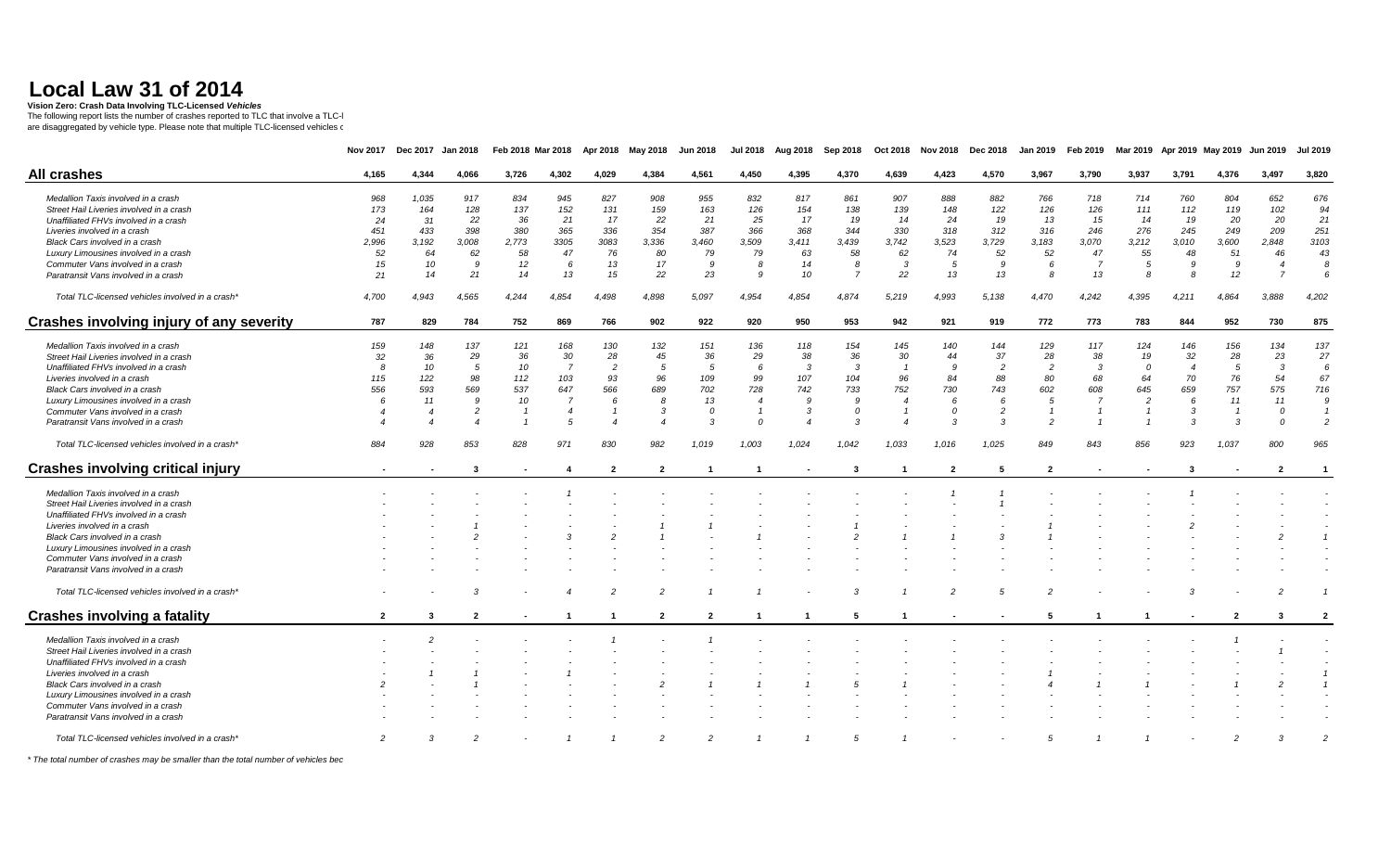**Vision Zero: Crash Data Involving TLC-Licensed** *Vehicles* 

The following report lists the number of crashes reported to TLC that involve a TLC-l<br>are disaggregated by vehicle type. Please note that multiple TLC-licensed vehicles ఁ

|                                                  | <b>Nov 2017</b> | <b>Dec 2017</b> | <b>Jan 2018</b> | Feb 2018 Mar 2018 |                | Apr 2018       | May 2018                   | Jun 2018       | <b>Jul 2018</b> | Aug 2018  | Sep 2018       | Oct 2018       | <b>Nov 2018</b> | Dec 2018       | <b>Jan 2019</b> | Feb 2019       | Mar 2019       |                | Apr 2019 May 2019 | <b>Jun 2019</b> | Jul 2019       |
|--------------------------------------------------|-----------------|-----------------|-----------------|-------------------|----------------|----------------|----------------------------|----------------|-----------------|-----------|----------------|----------------|-----------------|----------------|-----------------|----------------|----------------|----------------|-------------------|-----------------|----------------|
| <b>All crashes</b>                               | 4,165           | 4,344           | 4,066           | 3,726             | 4,302          | 4,029          | 4,384                      | 4,561          | 4,450           | 4,395     | 4,370          | 4,639          | 4,423           | 4,570          | 3,967           | 3,790          | 3,937          | 3,791          | 4,376             | 3,497           | 3,820          |
| Medallion Taxis involved in a crash              | 968             | 1,035           | 917             | 834               | 945            | 827            | 908                        | 955            | 832             | 817       | 861            | 907            | 888             | 882            | 766             | 718            | 714            | 760            | 804               | 652             | 676            |
| Street Hail Liveries involved in a crash         | 173             | 164             | 128             | 137               | 152            | 131            | 159                        | 163            | 126             | 154       | 138            | 139            | 148             | 122            | 126             | 126            | 111            | 112            | 119               | 102             | 94             |
| Unaffiliated FHVs involved in a crash            | 24              | 31              | 22              | 36                | 21             | 17             | 22                         | 21             | 25              | 17        | 19             | 14             | 24              | 19             | 13              | 15             | 14             | 19             | 20                | 20              | 21             |
| Liveries involved in a crash                     | 451             | 433             | 398             | 380               | 365            | 336            | 354                        | 387            | 366             | 368       | 344            | 330            | 318             | 312            | 316             | 246            | 276            | 245            | 249               | 209             | 251            |
| Black Cars involved in a crash                   | 2,996           | 3,192           | 3,008           | 2,773             | 3305           | 3083           | 3,336                      | 3,460          | 3,509           | 3,411     | 3,439          | 3,742          | 3,523           | 3,729          | 3,183           | 3,070          | 3,212          | 3,010          | 3,600             | 2,848           | 3103           |
| Luxury Limousines involved in a crash            | 52              | 64              | 62              | 58                | 47             | 76             | 80                         | 79             | 79              | 63        | 58             | 62             | 74              | 52             | 52              | 47             | 55             | 48             | 51                | 46              | 43             |
| Commuter Vans involved in a crash                | 15              | 10              | 9               | 12                | -6             | 13             | 17                         | 9              | 8               | 14        | 8              | 3              | 5               | 9              | 6               | $\overline{7}$ | 5              | 9              | 9                 |                 | 8              |
| Paratransit Vans involved in a crash             | 21              | 14              | 21              | 14                | 13             | 15             | 22                         | 23             | $\mathbf{Q}$    | 10        | $\overline{7}$ | 22             | 13              | 13             | 8               | 13             | 8              | $\mathcal{B}$  | 12                | $\overline{z}$  | 6              |
| Total TLC-licensed vehicles involved in a crash* | 4,700           | 4,943           | 4,565           | 4,244             | 4,854          | 4,498          | 4,898                      | 5,097          | 4,954           | 4,854     | 4,874          | 5,219          | 4,993           | 5,138          | 4,470           | 4,242          | 4,395          | 4,211          | 4,864             | 3,888           | 4,202          |
| Crashes involving injury of any severity         | 787             | 829             | 784             | 752               | 869            | 766            | 902                        | 922            | 920             | 950       | 953            | 942            | 921             | 919            | 772             | 773            | 783            | 844            | 952               | 730             | 875            |
| Medallion Taxis involved in a crash              | 159             | 148             | 137             | 121               | 168            | 130            | 132                        | 151            | 136             | 118       | 154            | 145            | 140             | 144            | 129             | 117            | 124            | 146            | 156               | 134             | 137            |
| Street Hail Liveries involved in a crash         | 32              | 36              | 29              | 36                | 30             | 28             | 45                         | 36             | 29              | 38        | 36             | 30             | 44              | 37             | 28              | 38             | 19             | 32             | 28                | 23              | 27             |
| Unaffiliated FHVs involved in a crash            | 8               | 10              | 5               | 10                | $\overline{7}$ | $\overline{c}$ | 5                          |                | 6               | $\cdot$ 3 | $\mathbf{3}$   |                | 9               | $\overline{c}$ | $\overline{c}$  | 3              | $\theta$       | $\overline{4}$ | 5                 | $\cdot$ 3       | 6              |
| Liveries involved in a crash                     | 115             | 122             | 98              | 112               | 103            | 93             | 96                         | 109            | 99              | 107       | 104            | 96             | 84              | 88             | 80              | 68             | 64             | 70             | 76                | 54              | 67             |
| Black Cars involved in a crash                   | 556             | 593             | 569             | 537               | 647            | 566            | 689                        | 702            | 728             | 742       | 733            | 752            | 730             | 743            | 602             | 608            | 645            | 659            | 757               | 575             | 716            |
| Luxury Limousines involved in a crash            | 6               | 11              | 9               | 10                | $\overline{7}$ | 6              | 8                          | 13             | $\overline{4}$  | 9         | -9             | $\overline{4}$ | 6               | 6              | 5               | $\overline{7}$ | $\overline{c}$ | 6              | 11                | 11              | -9             |
| Commuter Vans involved in a crash                |                 |                 |                 | $\overline{1}$    |                |                | $\cdot$ 3                  |                |                 | 3         | $\Omega$       |                |                 | $\overline{c}$ |                 |                |                | 3              |                   | $\Omega$        |                |
| Paratransit Vans involved in a crash             |                 |                 |                 |                   |                |                | $\boldsymbol{\mathcal{A}}$ |                | $\Omega$        |           | $\mathcal{R}$  | ⊿              | 3               | 3              | $\overline{2}$  |                |                | $\cdot$ 3      |                   | $\Omega$        |                |
| Total TLC-licensed vehicles involved in a crash* | 884             | 928             | 853             | 828               | 971            | 830            | 982                        | 1,019          | 1,003           | 1,024     | 1.042          | 1,033          | 1.016           | 1,025          | 849             | 843            | 856            | 923            | 1,037             | 800             | 965            |
| <b>Crashes involving critical injury</b>         |                 |                 | -3              |                   | 4              | $\overline{2}$ | $\overline{2}$             |                |                 |           | 3              |                | $\overline{2}$  | 5              | $\overline{2}$  |                |                | 3              |                   | $\overline{2}$  |                |
| Medallion Taxis involved in a crash              |                 |                 |                 |                   |                |                |                            |                |                 |           |                |                |                 |                |                 |                |                |                |                   |                 |                |
| Street Hail Liveries involved in a crash         |                 |                 |                 |                   |                |                |                            |                |                 |           |                |                |                 |                |                 |                |                |                |                   |                 |                |
| Unaffiliated FHVs involved in a crash            |                 |                 |                 |                   |                |                |                            |                |                 |           |                |                |                 |                |                 |                |                |                |                   |                 |                |
| Liveries involved in a crash                     |                 |                 |                 |                   |                |                |                            |                |                 |           |                |                |                 |                |                 |                |                |                |                   |                 |                |
| Black Cars involved in a crash                   |                 |                 |                 |                   |                |                |                            |                |                 |           |                |                |                 |                |                 |                |                |                |                   |                 |                |
| Luxury Limousines involved in a crash            |                 |                 |                 |                   |                |                |                            |                |                 |           |                |                |                 |                |                 |                |                |                |                   |                 |                |
| Commuter Vans involved in a crash                |                 |                 |                 |                   |                |                |                            |                |                 |           |                |                |                 |                |                 |                |                |                |                   |                 |                |
| Paratransit Vans involved in a crash             |                 |                 |                 |                   |                |                |                            |                |                 |           |                |                |                 |                |                 |                |                |                |                   |                 |                |
| Total TLC-licensed vehicles involved in a crash* |                 |                 |                 |                   |                |                |                            |                |                 |           |                |                |                 |                |                 |                |                |                |                   |                 |                |
| <b>Crashes involving a fatality</b>              | $\overline{2}$  | 3               | $\overline{2}$  | $\sim$            |                |                | $\overline{2}$             | $\overline{2}$ |                 |           | -5             |                | $\blacksquare$  |                | 5               |                |                |                | $\overline{2}$    | 3               | $\overline{2}$ |
|                                                  |                 |                 |                 |                   |                |                |                            |                |                 |           |                |                |                 |                |                 |                |                |                |                   |                 |                |
| Medallion Taxis involved in a crash              |                 |                 |                 |                   |                |                |                            |                |                 |           |                |                |                 |                |                 |                |                |                |                   |                 |                |
| Street Hail Liveries involved in a crash         |                 |                 |                 |                   |                |                |                            |                |                 |           |                |                |                 |                |                 |                |                |                |                   |                 |                |
| Unaffiliated FHVs involved in a crash            |                 |                 |                 |                   |                |                |                            |                |                 |           |                |                |                 |                |                 |                |                |                |                   |                 |                |
| Liveries involved in a crash                     |                 |                 |                 |                   |                |                |                            |                |                 |           |                |                |                 |                |                 |                |                |                |                   |                 |                |
| Black Cars involved in a crash                   |                 |                 |                 |                   |                |                |                            |                |                 |           |                |                |                 |                |                 |                |                |                |                   |                 |                |
| Luxury Limousines involved in a crash            |                 |                 |                 |                   |                |                |                            |                |                 |           |                |                |                 |                |                 |                |                |                |                   |                 |                |
| Commuter Vans involved in a crash                |                 |                 |                 |                   |                |                |                            |                |                 |           |                |                |                 |                |                 |                |                |                |                   |                 |                |
| Paratransit Vans involved in a crash             |                 |                 |                 |                   |                |                |                            |                |                 |           |                |                |                 |                |                 |                |                |                |                   |                 |                |
| Total TLC-licensed vehicles involved in a crash* | $\overline{2}$  |                 |                 |                   |                |                | $\overline{2}$             |                |                 |           |                |                |                 |                | 5               |                |                |                | $\overline{c}$    |                 |                |

 $*$  The total number of crashes may be smaller than the total number of vehicles bec